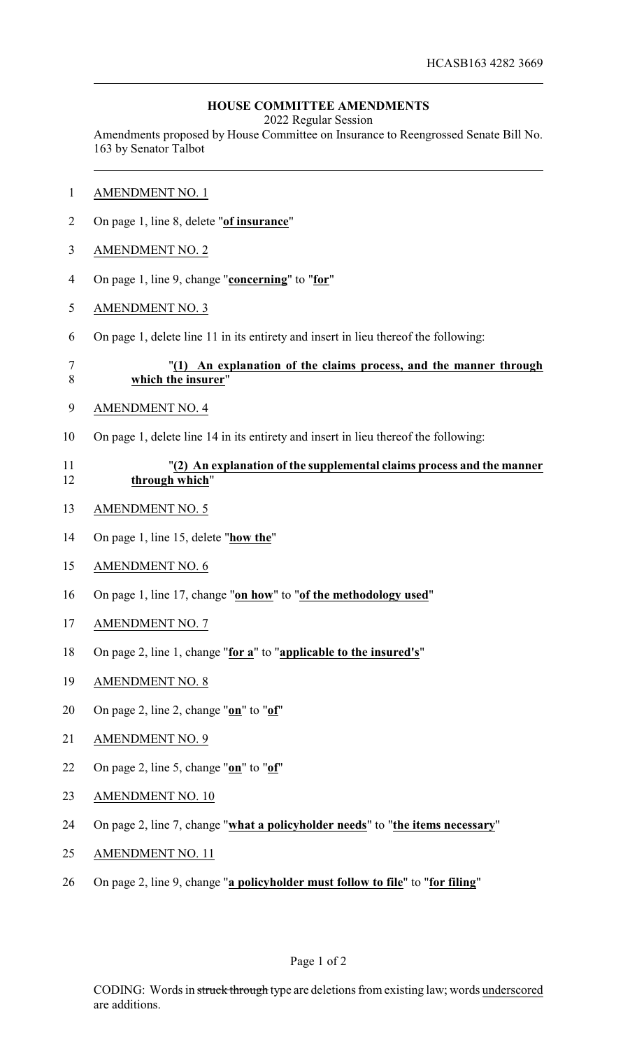## **HOUSE COMMITTEE AMENDMENTS**

2022 Regular Session

Amendments proposed by House Committee on Insurance to Reengrossed Senate Bill No. 163 by Senator Talbot

- AMENDMENT NO. 1
- On page 1, line 8, delete "**of insurance**"
- AMENDMENT NO. 2
- On page 1, line 9, change "**concerning**" to "**for**"
- AMENDMENT NO. 3
- On page 1, delete line 11 in its entirety and insert in lieu thereof the following:

## "**(1) An explanation of the claims process, and the manner through which the insurer**"

- AMENDMENT NO. 4
- On page 1, delete line 14 in its entirety and insert in lieu thereof the following:

## "**(2) An explanation of the supplemental claims process and the manner through which**"

- AMENDMENT NO. 5
- On page 1, line 15, delete "**how the**"
- AMENDMENT NO. 6
- On page 1, line 17, change "**on how**" to "**of the methodology used**"
- AMENDMENT NO. 7
- On page 2, line 1, change "**for a**" to "**applicable to the insured's**"
- AMENDMENT NO. 8
- On page 2, line 2, change "**on**" to "**of**"
- AMENDMENT NO. 9
- On page 2, line 5, change "**on**" to "**of**"
- 23 AMENDMENT NO. 10
- On page 2, line 7, change "**what a policyholder needs**" to "**the items necessary**"
- AMENDMENT NO. 11
- On page 2, line 9, change "**a policyholder must follow to file**" to "**for filing**"